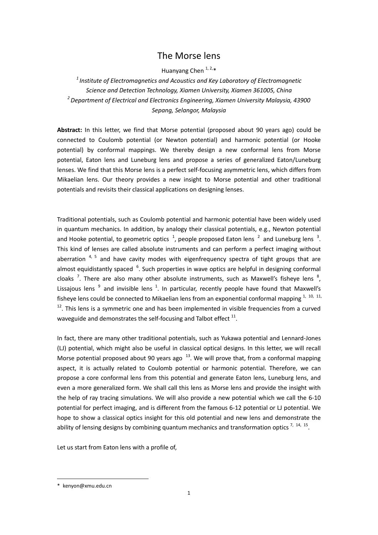## The Morse lens

Huanyang Chen 1, 2,\*

*<sup>1</sup>Institute of Electromagnetics and Acoustics and Key Laboratory of Electromagnetic Science and Detection Technology, Xiamen University, Xiamen 361005, China 2 Department of Electrical and Electronics Engineering, Xiamen University Malaysia, 43900 Sepang, Selangor, Malaysia*

**Abstract:** In this letter, we find that Morse potential (proposed about 90 years ago) could be connected to Coulomb potential (or Newton potential) and harmonic potential (or Hooke potential) by conformal mappings. We thereby design a new conformal lens from Morse potential, Eaton lens and Luneburg lens and propose a series of generalized Eaton/Luneburg lenses. We find that this Morse lens is a perfect self-focusing asymmetric lens, which differs from Mikaelian lens. Our theory provides a new insight to Morse potential and other traditional potentials and revisits their classical applications on designing lenses.

<span id="page-0-5"></span><span id="page-0-2"></span><span id="page-0-0"></span>Traditional potentials, such as Coulomb potential and harmonic potential have been widely used in quantum mechanics. In addition, by analogy their classical potentials, e.g., Newton potential and Hooke potential, to geometric optics  $\frac{1}{2}$ , people proposed Eaton lens  $\frac{2}{2}$  and Luneburg lens  $\frac{3}{2}$ . This kind of lenses are called absolute instruments and can perform a perfect imaging without aberration  $4, 5$  and have cavity modes with eigenfrequency spectra of tight groups that are almost equidistantly spaced <sup>6</sup>. Such properties in wave optics are helpful in designing conformal cloaks<sup>7</sup>. There are also many other absolute instruments, such as Maxwell's fisheye lens  $^{8}$ , Lissajous lens  $9$  and invisible lens  $1$ . In particular, recently people have found that Maxwell's fisheye lens could be connected to Mikaelian lens from an exponential conformal mapping  $1, 10, 11,$  $1, 10, 11,$  $12$ . This lens is a symmetric one and has been implemented in visible frequencies from a curved waveguide and demonstrates the self-focusing and Talbot effect  $^{11}$  $^{11}$  $^{11}$ .

<span id="page-0-4"></span><span id="page-0-3"></span><span id="page-0-1"></span>In fact, there are many other traditional potentials, such as Yukawa potential and Lennard-Jones (LJ) potential, which might also be useful in classical optical designs. In this letter, we will recall Morse potential proposed about 90 years ago  $13$ . We will prove that, from a conformal mapping aspect, it is actually related to Coulomb potential or harmonic potential. Therefore, we can propose a core conformal lens from this potential and generate Eaton lens, Luneburg lens, and even a more generalized form. We shall call this lens as Morse lens and provide the insight with the help of ray tracing simulations. We will also provide a new potential which we call the 6-10 potential for perfect imaging, and is different from the famous 6-12 potential or LJ potential. We hope to show a classical optics insight for this old potential and new lens and demonstrate the ability of lensing designs by combining quantum mechanics and transformation optics  $^{7, 14, 15}$  $^{7, 14, 15}$  $^{7, 14, 15}$ .

<span id="page-0-6"></span>Let us start from Eaton lens with a profile of,

-

<sup>\*</sup> kenyon@xmu.edu.cn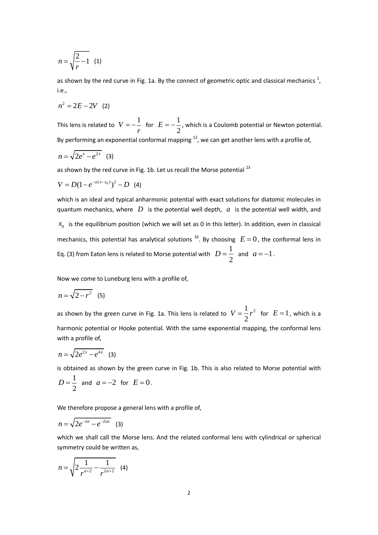$$
n = \sqrt{\frac{2}{r} - 1} \quad (1)
$$

as shown by the red curve in Fig. [1](#page-0-0)a. By the connect of geometric optic and classical mechanics  $^{1}$ , i.e.,

$$
n^2 = 2E - 2V
$$
 (2)

This lens is related to  $V = -\frac{1}{2}$ *r*  $=-\frac{1}{2}$  for  $E=-\frac{1}{2}$ 2  $E = -\frac{1}{2}$ , which is a Coulomb potential or Newton potential. By performing an exponential conformal mapping  $^{12}$  $^{12}$  $^{12}$ , we can get another lens with a profile of,

$$
n=\sqrt{2e^x-e^{2x}} \quad (3)
$$

as shown by the red curve in Fig. 1b. Let us recall the Morse potential  $^{13}$  $^{13}$  $^{13}$ 

$$
V = D(1 - e^{-a(x-x_0)})^2 - D \quad (4)
$$

<span id="page-1-0"></span>which is an ideal and typical anharmonic potential with exact solutions for diatomic molecules in quantum mechanics, where  $\overline{D}$  is the potential well depth,  $\overline{a}$  is the potential well width, and  $x_0$  is the equilibrium position (which we will set as 0 in this letter). In addition, even in classical mechanics, this potential has analytical solutions <sup>16</sup>. By choosing  $|E=0$ , the conformal lens in Eq. (3) from Eaton lens is related to Morse potential with  $D=\frac{1}{2}$ 2  $D = \frac{1}{2}$  and  $a = -1$ .

Now we come to Luneburg lens with a profile of,

$$
n=\sqrt{2-r^2}
$$
 (5)

as shown by the green curve in Fig. 1a. This lens is related to  $V = \frac{1}{2}r^2$ 2  $V = \frac{1}{2}r^2$  for  $E = 1$ , which is a harmonic potential or Hooke potential. With the same exponential mapping, the conformal lens with a profile of,

$$
n=\sqrt{2e^{2x}-e^{4x}} \quad (3)
$$

is obtained as shown by the green curve in Fig. 1b. This is also related to Morse potential with

$$
D = \frac{1}{2} \text{ and } a = -2 \text{ for } E = 0.
$$

We therefore propose a general lens with a profile of.

$$
n = \sqrt{2e^{-ax} - e^{-2ax}} \quad (3)
$$

which we shall call the Morse lens. And the related conformal lens with cylindrical or spherical symmetry could be written as,

$$
n = \sqrt{2\frac{1}{r^{a+2}} - \frac{1}{r^{2a+2}}}
$$
 (4)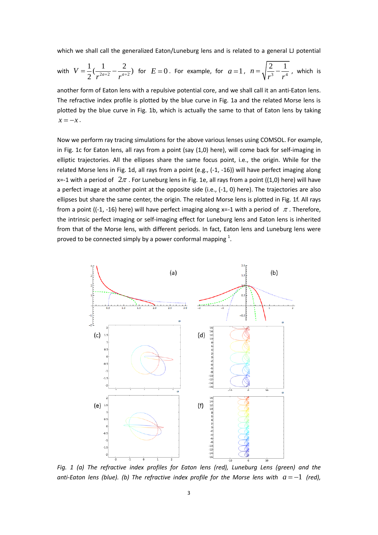which we shall call the generalized Eaton/Luneburg lens and is related to a general LJ potential

with 
$$
V = \frac{1}{2}(\frac{1}{r^{2a+2}} - \frac{2}{r^{a+2}})
$$
 for  $E = 0$ . For example, for  $a = 1$ ,  $n = \sqrt{\frac{2}{r^3} - \frac{1}{r^4}}$ , which is

another form of Eaton lens with a repulsive potential core, and we shall call it an anti-Eaton lens. The refractive index profile is plotted by the blue curve in Fig. 1a and the related Morse lens is plotted by the blue curve in Fig. 1b, which is actually the same to that of Eaton lens by taking  $x = -x$ .

Now we perform ray tracing simulations for the above various lenses using COMSOL. For example, in Fig. 1c for Eaton lens, all rays from a point (say (1,0) here), will come back for self-imaging in elliptic trajectories. All the ellipses share the same focus point, i.e., the origin. While for the related Morse lens in Fig. 1d, all rays from a point (e.g., (-1, -16)) will have perfect imaging along x=-1 with a period of  $2\pi$  . For Luneburg lens in Fig. 1e, all rays from a point ((1,0) here) will have a perfect image at another point at the opposite side (i.e., (-1, 0) here). The trajectories are also ellipses but share the same center, the origin. The related Morse lens is plotted in Fig. 1f. All rays from a point ((-1, -16) here) will have perfect imaging along x=-1 with a period of  $\pi$ . Therefore, the intrinsic perfect imaging or self-imaging effect for Luneburg lens and Eaton lens is inherited from that of the Morse lens, with different periods. In fact, Eaton lens and Luneburg lens were proved to be connected simply by a power conformal mapping  $^1$ [.](#page-0-0)



*Fig. 1 (a) The refractive index profiles for Eaton lens (red), Luneburg Lens (green) and the*  anti-Eaton lens (blue). (b) The refractive index profile for the Morse lens with  $a = -1$  (red),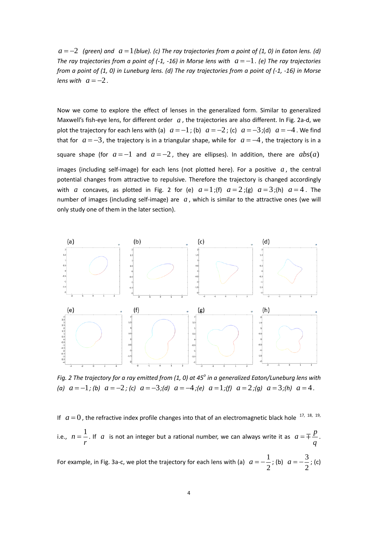$a = -2$  (green) and  $a = 1$  (blue). (c) The ray trajectories from a point of (1, 0) in Eaton lens. (d) The ray trajectories from a point of (-1, -16) in Morse lens with  $a = -1$ . (e) The ray trajectories *from a point of (1, 0) in Luneburg lens. (d) The ray trajectories from a point of (-1, -16) in Morse lens* with  $a = -2$ .

Now we come to explore the effect of lenses in the generalized form. Similar to generalized Maxwell's fish-eye lens, for different order  $a$ , the trajectories are also different. In Fig. 2a-d, we plot the trajectory for each lens with (a)  $a = -1$ ; (b)  $a = -2$ ; (c)  $a = -3$ ; (d)  $a = -4$ . We find that for  $a = -3$ , the trajectory is in a triangular shape, while for  $a = -4$ , the trajectory is in a square shape (for  $a = -1$  and  $a = -2$ , they are ellipses). In addition, there are  $abs(a)$ images (including self-image) for each lens (not plotted here). For a positive  $a$ , the central potential changes from attractive to repulsive. Therefore the trajectory is changed accordingly with *a* concaves, as plotted in Fig. 2 for (e)  $a=1$ ;(f)  $a=2$ ;(g)  $a=3$ ;(h)  $a=4$ . The number of images (including self-image) are  $a$ , which is similar to the attractive ones (we will only study one of them in the later section).



*Fig. 2 The trajectory for a ray emitted from (1, 0) at 45<sup>o</sup> in a generalized Eaton/Luneburg lens with*  (a)  $a = -1$ ; (b)  $a = -2$ ; (c)  $a = -3$ ; (d)  $a = -4$ ; (e)  $a = 1$ ; (f)  $a = 2$ ; (g)  $a = 3$ ; (h)  $a = 4$ .

If  $a=0$ , the refractive index profile changes into that of an electromagnetic black hole  $17, 18, 19,$ i.e.,  $n = \frac{1}{n}$ *r*  $\mu = \frac{1}{2}$ . If a is not an integer but a rational number, we can always write it as  $a = \mp \frac{p}{2}$ *q*  $=$   $\mp$   $\frac{P}{q}$ . For example, in Fig. 3a-c, we plot the trajectory for each lens with (a)  $a=-\frac{1}{2}$ 2  $a = -\frac{1}{2}$ ; (b)  $a = -\frac{3}{2}$ 2  $a = -\frac{3}{2}$ ; (c)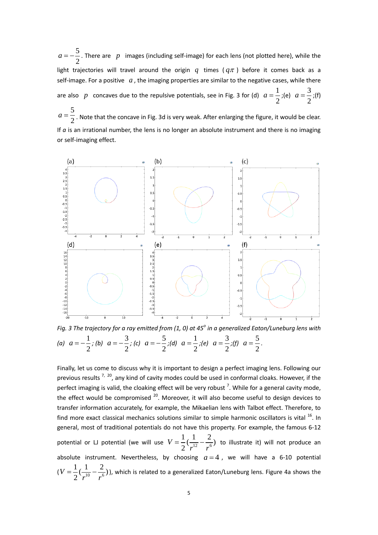5 2  $a = -\frac{3}{2}$ . There are p images (including self-image) for each lens (not plotted here), while the light trajectories will travel around the origin  $q$  times  $(q\pi)$  before it comes back as a self-image. For a positive  $a$ , the imaging properties are similar to the negative cases, while there are also p concaves due to the repulsive potentials, see in Fig. 3 for (d)  $a=\frac{1}{2}$ 2  $a = \frac{1}{2}$ ;(e)  $a = \frac{3}{2}$ 2  $a = \frac{3}{2}$ ;(f)

5  $a = \frac{3}{2}$ . Note that the concave in Fig. 3d is very weak. After enlarging the figure, it would be clear. If *a* is an irrational number, the lens is no longer an absolute instrument and there is no imaging or self-imaging effect.



*Fig. 3 The trajectory for a ray emitted from (1, 0) at 45<sup>o</sup> in a generalized Eaton/Luneburg lens with*  (*a*)  $a = -\frac{1}{2}$ 2  $a = -\frac{1}{a}$ ; (b)  $a = -\frac{3}{b}$ 2  $a = -\frac{3}{2}$ ; (c)  $a = -\frac{5}{3}$ 2  $a = -\frac{5}{6}$ ;(d)  $a = \frac{1}{6}$ 2  $a = \frac{1}{2}$ ;(e)  $a = \frac{3}{2}$ 2  $a = \frac{3}{2}$ ;(f)  $a = \frac{5}{3}$ 2  $a = \frac{3}{2}$ .

<span id="page-4-0"></span>Finally, let us come to discuss why it is important to design a perfect imaging lens. Following our previous results <sup>[7,](#page-0-2) 20</sup>, any kind of cavity modes could be used in conformal cloaks. However, if the perfect imaging is valid, the cloaking effect will be very robust  $^7$  $^7$ . While for a general cavity mode, the effect would be compromised <sup>[20](#page-4-0)</sup>. Moreover, it will also become useful to design devices to transfer information accurately, for example, the Mikaelian lens with Talbot effect. Therefore, to find more exact classical mechanics solutions similar to simple harmonic oscillators is vital <sup>[16](#page-1-0)</sup>. In general, most of traditional potentials do not have this property. For example, the famous 6-12 potential or LJ potential (we will use  $V = \frac{1}{2}(\frac{1}{r^{12}} - \frac{2}{r^6})$ 2 *V*  $r^{12}$  r  $t=\frac{1}{2}(\frac{1}{\sqrt{2}}-\frac{2}{6})$  to illustrate it) will not produce an absolute instrument. Nevertheless, by choosing  $a=4$ , we will have a 6-10 potential  $(V = \frac{1}{2}(\frac{1}{r^{10}} - \frac{2}{r^6})$ 2 *V*  $r^{10}$  r  $=\frac{1}{2}(\frac{1}{10}-\frac{2}{6})$ ), which is related to a generalized Eaton/Luneburg lens. Figure 4a shows the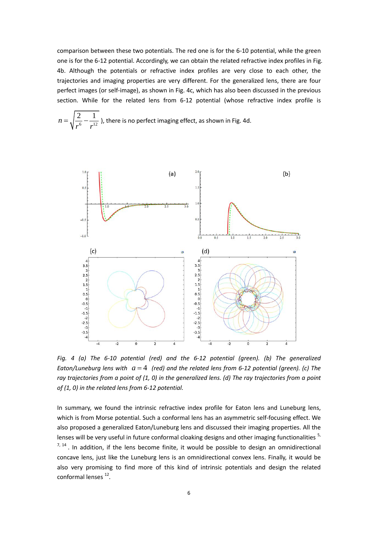comparison between these two potentials. The red one is for the 6-10 potential, while the green one is for the 6-12 potential. Accordingly, we can obtain the related refractive index profiles in Fig. 4b. Although the potentials or refractive index profiles are very close to each other, the trajectories and imaging properties are very different. For the generalized lens, there are four perfect images (or self-image), as shown in Fig. 4c, which has also been discussed in the previous section. While for the related lens from 6-12 potential (whose refractive index profile is

$$
n = \sqrt{\frac{2}{r^6} - \frac{1}{r^{12}}}
$$
), there is no perfect imaging effect, as shown in Fig. 4d.



*Fig. 4 (a) The 6-10 potential (red) and the 6-12 potential (green). (b) The generalized*  Eaton/Luneburg lens with  $a = 4$  (red) and the related lens from 6-12 potential (green). (c) The *ray trajectories from a point of (1, 0) in the generalized lens. (d) The ray trajectories from a point of (1, 0) in the related lens from 6-12 potential.*

In summary, we found the intrinsic refractive index profile for Eaton lens and Luneburg lens, which is from Morse potential. Such a conformal lens has an asymmetric self-focusing effect. We also proposed a generalized Eaton/Luneburg lens and discussed their imaging properties. All the lenses will be very useful in future conformal cloaking designs and other imaging functionalities <sup>[5,](#page-0-5)</sup>  $7,$   $14$ . In addition, if the lens become finite, it would be possible to design an omnidirectional concave lens, just like the Luneburg lens is an omnidirectional convex lens. Finally, it would be also very promising to find more of this kind of intrinsic potentials and design the related conformal lenses<sup>[12](#page-0-3)</sup>.